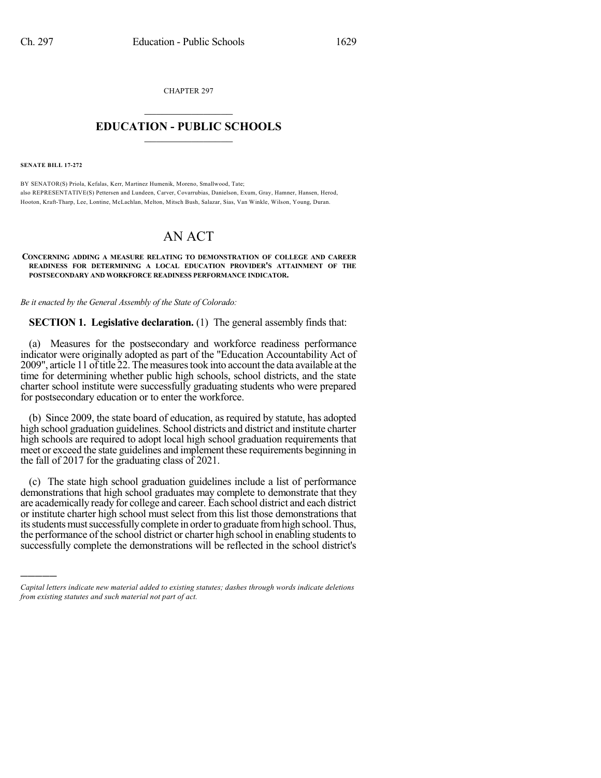CHAPTER 297  $\mathcal{L}_\text{max}$  . The set of the set of the set of the set of the set of the set of the set of the set of the set of the set of the set of the set of the set of the set of the set of the set of the set of the set of the set

## **EDUCATION - PUBLIC SCHOOLS**  $\_$   $\_$   $\_$   $\_$   $\_$   $\_$   $\_$   $\_$   $\_$

**SENATE BILL 17-272**

)))))

BY SENATOR(S) Priola, Kefalas, Kerr, Martinez Humenik, Moreno, Smallwood, Tate; also REPRESENTATIVE(S) Pettersen and Lundeen, Carver, Covarrubias, Danielson, Exum, Gray, Hamner, Hansen, Herod, Hooton, Kraft-Tharp, Lee, Lontine, McLachlan, Melton, Mitsch Bush, Salazar, Sias, Van Winkle, Wilson, Young, Duran.

## AN ACT

## **CONCERNING ADDING A MEASURE RELATING TO DEMONSTRATION OF COLLEGE AND CAREER READINESS FOR DETERMINING A LOCAL EDUCATION PROVIDER'S ATTAINMENT OF THE POSTSECONDARY AND WORKFORCE READINESS PERFORMANCE INDICATOR.**

*Be it enacted by the General Assembly of the State of Colorado:*

**SECTION 1. Legislative declaration.** (1) The general assembly finds that:

(a) Measures for the postsecondary and workforce readiness performance indicator were originally adopted as part of the "Education Accountability Act of 2009", article 11 oftitle 22. Themeasurestook into account the data available at the time for determining whether public high schools, school districts, and the state charter school institute were successfully graduating students who were prepared for postsecondary education or to enter the workforce.

(b) Since 2009, the state board of education, as required by statute, has adopted high school graduation guidelines. School districts and district and institute charter high schools are required to adopt local high school graduation requirements that meet or exceed the state guidelines and implement these requirements beginning in the fall of 2017 for the graduating class of 2021.

(c) The state high school graduation guidelines include a list of performance demonstrations that high school graduates may complete to demonstrate that they are academically ready for college and career. Each school district and each district or institute charter high school must select from this list those demonstrations that its students must successfully complete in order to graduate from high school. Thus, the performance of the school district or charter high school in enabling students to successfully complete the demonstrations will be reflected in the school district's

*Capital letters indicate new material added to existing statutes; dashes through words indicate deletions from existing statutes and such material not part of act.*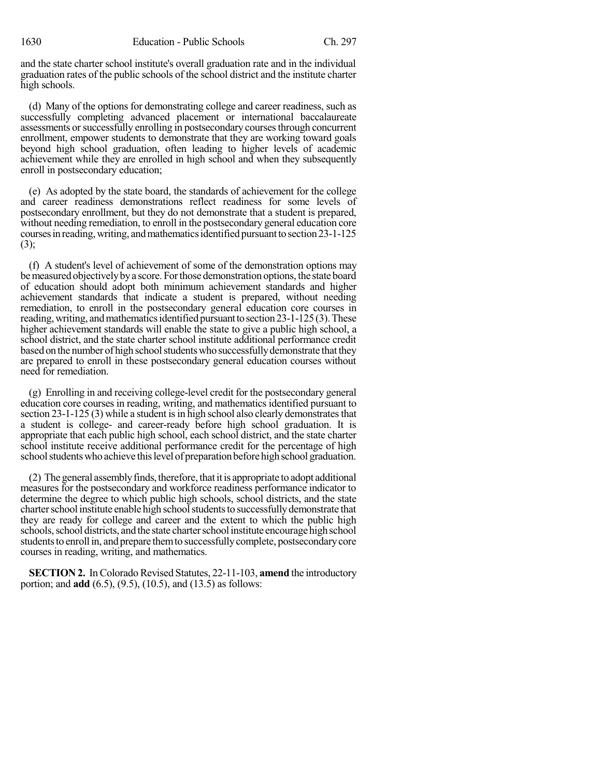and the state charter school institute's overall graduation rate and in the individual graduation rates of the public schools of the school district and the institute charter high schools.

(d) Many of the options for demonstrating college and career readiness, such as successfully completing advanced placement or international baccalaureate assessments or successfully enrolling in postsecondary courses through concurrent enrollment, empower students to demonstrate that they are working toward goals beyond high school graduation, often leading to higher levels of academic achievement while they are enrolled in high school and when they subsequently enroll in postsecondary education;

(e) As adopted by the state board, the standards of achievement for the college and career readiness demonstrations reflect readiness for some levels of postsecondary enrollment, but they do not demonstrate that a student is prepared, without needing remediation, to enroll in the postsecondary general education core courses in reading, writing, and mathematics identified pursuant to section 23-1-125 (3);

(f) A student's level of achievement of some of the demonstration options may be measured objectively by a score. For those demonstration options, the state board of education should adopt both minimum achievement standards and higher achievement standards that indicate a student is prepared, without needing remediation, to enroll in the postsecondary general education core courses in reading, writing, and mathematics identified pursuant to section  $23-1-125(3)$ . These higher achievement standards will enable the state to give a public high school, a school district, and the state charter school institute additional performance credit based on the number of high school students who successfully demonstrate that they are prepared to enroll in these postsecondary general education courses without need for remediation.

(g) Enrolling in and receiving college-level credit for the postsecondary general education core courses in reading, writing, and mathematics identified pursuant to section  $23-1-125$  (3) while a student is in high school also clearly demonstrates that a student is college- and career-ready before high school graduation. It is appropriate that each public high school, each school district, and the state charter school institute receive additional performance credit for the percentage of high school students who achieve this level of preparation before high school graduation.

(2) The general assembly finds, therefore, that it is appropriate to adopt additional measures for the postsecondary and workforce readiness performance indicator to determine the degree to which public high schools, school districts, and the state charter school institute enable high school students to successfully demonstrate that they are ready for college and career and the extent to which the public high schools, school districts, and the state charter school institute encourage high school students to enroll in, and prepare them to successfully complete, postsecondary core courses in reading, writing, and mathematics.

**SECTION 2.** In Colorado Revised Statutes, 22-11-103, **amend** the introductory portion; and **add** (6.5), (9.5), (10.5), and (13.5) as follows: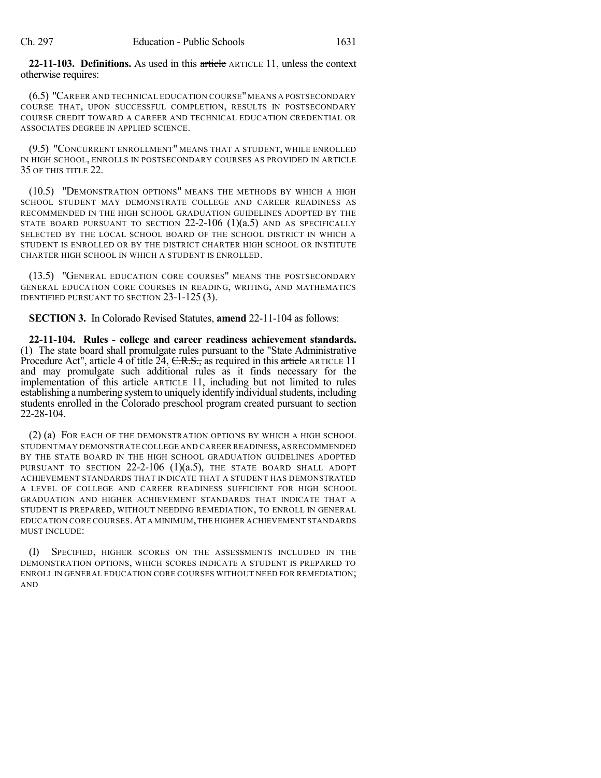**22-11-103. Definitions.** As used in this article ARTICLE 11, unless the context otherwise requires:

(6.5) "CAREER AND TECHNICAL EDUCATION COURSE" MEANS A POSTSECONDARY COURSE THAT, UPON SUCCESSFUL COMPLETION, RESULTS IN POSTSECONDARY COURSE CREDIT TOWARD A CAREER AND TECHNICAL EDUCATION CREDENTIAL OR ASSOCIATES DEGREE IN APPLIED SCIENCE.

(9.5) "CONCURRENT ENROLLMENT" MEANS THAT A STUDENT, WHILE ENROLLED IN HIGH SCHOOL, ENROLLS IN POSTSECONDARY COURSES AS PROVIDED IN ARTICLE 35 OF THIS TITLE 22.

(10.5) "DEMONSTRATION OPTIONS" MEANS THE METHODS BY WHICH A HIGH SCHOOL STUDENT MAY DEMONSTRATE COLLEGE AND CAREER READINESS AS RECOMMENDED IN THE HIGH SCHOOL GRADUATION GUIDELINES ADOPTED BY THE STATE BOARD PURSUANT TO SECTION  $22-2-106$  (1)(a.5) AND AS SPECIFICALLY SELECTED BY THE LOCAL SCHOOL BOARD OF THE SCHOOL DISTRICT IN WHICH A STUDENT IS ENROLLED OR BY THE DISTRICT CHARTER HIGH SCHOOL OR INSTITUTE CHARTER HIGH SCHOOL IN WHICH A STUDENT IS ENROLLED.

(13.5) "GENERAL EDUCATION CORE COURSES" MEANS THE POSTSECONDARY GENERAL EDUCATION CORE COURSES IN READING, WRITING, AND MATHEMATICS IDENTIFIED PURSUANT TO SECTION 23-1-125 (3).

**SECTION 3.** In Colorado Revised Statutes, **amend** 22-11-104 as follows:

**22-11-104. Rules - college and career readiness achievement standards.** (1) The state board shall promulgate rules pursuant to the "State Administrative Procedure Act", article 4 of title 24, C.R.S., as required in this article ARTICLE 11 and may promulgate such additional rules as it finds necessary for the implementation of this article ARTICLE 11, including but not limited to rules establishing a numbering system to uniquely identify individual students, including students enrolled in the Colorado preschool program created pursuant to section 22-28-104.

(2) (a) FOR EACH OF THE DEMONSTRATION OPTIONS BY WHICH A HIGH SCHOOL STUDENT MAY DEMONSTRATE COLLEGE AND CAREER READINESS,ASRECOMMENDED BY THE STATE BOARD IN THE HIGH SCHOOL GRADUATION GUIDELINES ADOPTED PURSUANT TO SECTION  $22-2-106$  (1)(a.5), THE STATE BOARD SHALL ADOPT ACHIEVEMENT STANDARDS THAT INDICATE THAT A STUDENT HAS DEMONSTRATED A LEVEL OF COLLEGE AND CAREER READINESS SUFFICIENT FOR HIGH SCHOOL GRADUATION AND HIGHER ACHIEVEMENT STANDARDS THAT INDICATE THAT A STUDENT IS PREPARED, WITHOUT NEEDING REMEDIATION, TO ENROLL IN GENERAL EDUCATION CORE COURSES.AT A MINIMUM,THE HIGHER ACHIEVEMENT STANDARDS MUST INCLUDE:

SPECIFIED, HIGHER SCORES ON THE ASSESSMENTS INCLUDED IN THE DEMONSTRATION OPTIONS, WHICH SCORES INDICATE A STUDENT IS PREPARED TO ENROLL IN GENERAL EDUCATION CORE COURSES WITHOUT NEED FOR REMEDIATION; AND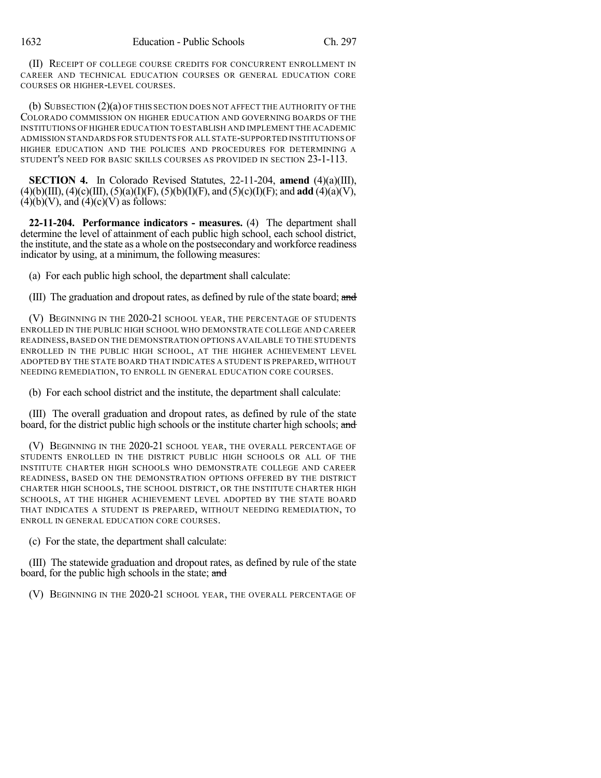(II) RECEIPT OF COLLEGE COURSE CREDITS FOR CONCURRENT ENROLLMENT IN CAREER AND TECHNICAL EDUCATION COURSES OR GENERAL EDUCATION CORE COURSES OR HIGHER-LEVEL COURSES.

(b) SUBSECTION (2)(a) OF THIS SECTION DOES NOT AFFECT THE AUTHORITY OF THE COLORADO COMMISSION ON HIGHER EDUCATION AND GOVERNING BOARDS OF THE INSTITUTIONS OF HIGHER EDUCATION TO ESTABLISH AND IMPLEMENT THE ACADEMIC ADMISSION STANDARDS FOR STUDENTS FOR ALL STATE-SUPPORTED INSTITUTIONS OF HIGHER EDUCATION AND THE POLICIES AND PROCEDURES FOR DETERMINING A STUDENT'S NEED FOR BASIC SKILLS COURSES AS PROVIDED IN SECTION 23-1-113.

**SECTION 4.** In Colorado Revised Statutes, 22-11-204, **amend** (4)(a)(III),  $(4)(b)(III)$ ,  $(4)(c)(III)$ ,  $(5)(a)(I)(F)$ ,  $(5)(b)(I)(F)$ , and  $(5)(c)(I)(F)$ ; and **add**  $(4)(a)(V)$ ,  $(4)(b)(V)$ , and  $(4)(c)(V)$  as follows:

**22-11-204. Performance indicators - measures.** (4) The department shall determine the level of attainment of each public high school, each school district, the institute, and the state as a whole on the postsecondary and workforce readiness indicator by using, at a minimum, the following measures:

(a) For each public high school, the department shall calculate:

(III) The graduation and dropout rates, as defined by rule of the state board; and

(V) BEGINNING IN THE 2020-21 SCHOOL YEAR, THE PERCENTAGE OF STUDENTS ENROLLED IN THE PUBLIC HIGH SCHOOL WHO DEMONSTRATE COLLEGE AND CAREER READINESS,BASED ON THE DEMONSTRATION OPTIONS AVAILABLE TO THE STUDENTS ENROLLED IN THE PUBLIC HIGH SCHOOL, AT THE HIGHER ACHIEVEMENT LEVEL ADOPTED BY THE STATE BOARD THAT INDICATES A STUDENT IS PREPARED, WITHOUT NEEDING REMEDIATION, TO ENROLL IN GENERAL EDUCATION CORE COURSES.

(b) For each school district and the institute, the department shall calculate:

(III) The overall graduation and dropout rates, as defined by rule of the state board, for the district public high schools or the institute charter high schools; and

(V) BEGINNING IN THE 2020-21 SCHOOL YEAR, THE OVERALL PERCENTAGE OF STUDENTS ENROLLED IN THE DISTRICT PUBLIC HIGH SCHOOLS OR ALL OF THE INSTITUTE CHARTER HIGH SCHOOLS WHO DEMONSTRATE COLLEGE AND CAREER READINESS, BASED ON THE DEMONSTRATION OPTIONS OFFERED BY THE DISTRICT CHARTER HIGH SCHOOLS, THE SCHOOL DISTRICT, OR THE INSTITUTE CHARTER HIGH SCHOOLS, AT THE HIGHER ACHIEVEMENT LEVEL ADOPTED BY THE STATE BOARD THAT INDICATES A STUDENT IS PREPARED, WITHOUT NEEDING REMEDIATION, TO ENROLL IN GENERAL EDUCATION CORE COURSES.

(c) For the state, the department shall calculate:

(III) The statewide graduation and dropout rates, as defined by rule of the state board, for the public high schools in the state; and

(V) BEGINNING IN THE 2020-21 SCHOOL YEAR, THE OVERALL PERCENTAGE OF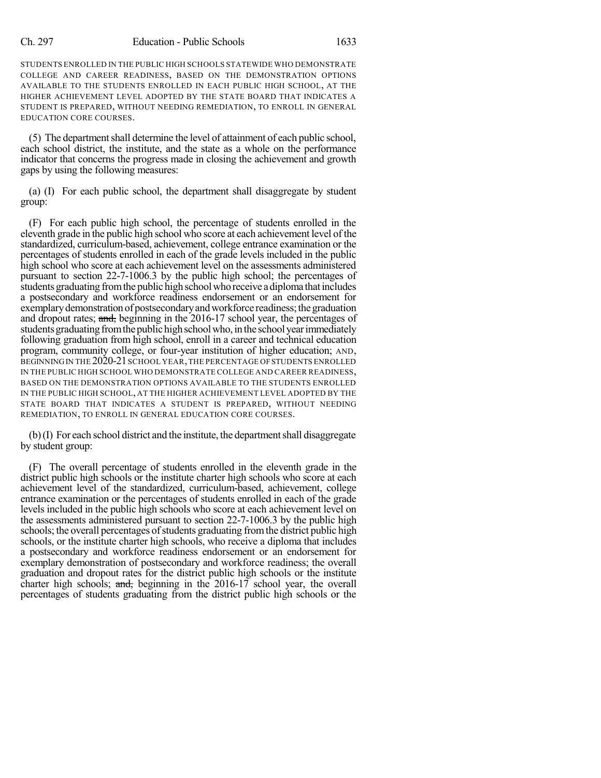STUDENTS ENROLLED IN THE PUBLIC HIGH SCHOOLS STATEWIDE WHO DEMONSTRATE COLLEGE AND CAREER READINESS, BASED ON THE DEMONSTRATION OPTIONS AVAILABLE TO THE STUDENTS ENROLLED IN EACH PUBLIC HIGH SCHOOL, AT THE HIGHER ACHIEVEMENT LEVEL ADOPTED BY THE STATE BOARD THAT INDICATES A STUDENT IS PREPARED, WITHOUT NEEDING REMEDIATION, TO ENROLL IN GENERAL EDUCATION CORE COURSES.

(5) The department shall determine the level of attainment of each public school, each school district, the institute, and the state as a whole on the performance indicator that concerns the progress made in closing the achievement and growth gaps by using the following measures:

(a) (I) For each public school, the department shall disaggregate by student group:

(F) For each public high school, the percentage of students enrolled in the eleventh grade in the public high school who score at each achievement level of the standardized, curriculum-based, achievement, college entrance examination or the percentages of students enrolled in each of the grade levels included in the public high school who score at each achievement level on the assessments administered pursuant to section 22-7-1006.3 by the public high school; the percentages of students graduating from the public high school who receive a diploma that includes a postsecondary and workforce readiness endorsement or an endorsement for exemplary demonstration of postsecondary and workforce readiness; the graduation and dropout rates; and, beginning in the 2016-17 school year, the percentages of students graduating from the public high school who, in the school year immediately following graduation from high school, enroll in a career and technical education program, community college, or four-year institution of higher education; AND, BEGINNING IN THE 2020-21 SCHOOL YEAR, THE PERCENTAGE OF STUDENTS ENROLLED IN THE PUBLIC HIGH SCHOOL WHO DEMONSTRATE COLLEGE AND CAREER READINESS, BASED ON THE DEMONSTRATION OPTIONS AVAILABLE TO THE STUDENTS ENROLLED IN THE PUBLIC HIGH SCHOOL, AT THE HIGHER ACHIEVEMENT LEVEL ADOPTED BY THE STATE BOARD THAT INDICATES A STUDENT IS PREPARED, WITHOUT NEEDING REMEDIATION, TO ENROLL IN GENERAL EDUCATION CORE COURSES.

(b)(I) For each school district and the institute, the departmentshall disaggregate by student group:

(F) The overall percentage of students enrolled in the eleventh grade in the district public high schools or the institute charter high schools who score at each achievement level of the standardized, curriculum-based, achievement, college entrance examination or the percentages of students enrolled in each of the grade levels included in the public high schools who score at each achievement level on the assessments administered pursuant to section 22-7-1006.3 by the public high schools; the overall percentages of students graduating from the district public high schools, or the institute charter high schools, who receive a diploma that includes a postsecondary and workforce readiness endorsement or an endorsement for exemplary demonstration of postsecondary and workforce readiness; the overall graduation and dropout rates for the district public high schools or the institute charter high schools; and, beginning in the  $2016-17$  school year, the overall percentages of students graduating from the district public high schools or the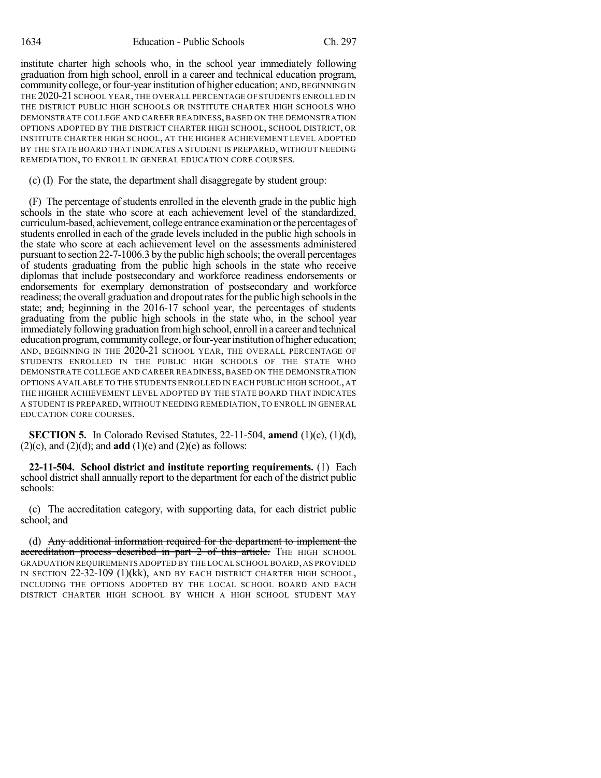institute charter high schools who, in the school year immediately following graduation from high school, enroll in a career and technical education program, community college, or four-year institution of higher education; AND, BEGINNING IN THE 2020-21 SCHOOL YEAR, THE OVERALL PERCENTAGE OF STUDENTS ENROLLED IN THE DISTRICT PUBLIC HIGH SCHOOLS OR INSTITUTE CHARTER HIGH SCHOOLS WHO DEMONSTRATE COLLEGE AND CAREER READINESS, BASED ON THE DEMONSTRATION OPTIONS ADOPTED BY THE DISTRICT CHARTER HIGH SCHOOL, SCHOOL DISTRICT, OR INSTITUTE CHARTER HIGH SCHOOL, AT THE HIGHER ACHIEVEMENT LEVEL ADOPTED BY THE STATE BOARD THAT INDICATES A STUDENT IS PREPARED, WITHOUT NEEDING REMEDIATION, TO ENROLL IN GENERAL EDUCATION CORE COURSES.

(c) (I) For the state, the department shall disaggregate by student group:

(F) The percentage of students enrolled in the eleventh grade in the public high schools in the state who score at each achievement level of the standardized, curriculum-based, achievement, college entrance examination orthe percentagesof students enrolled in each of the grade levels included in the public high schools in the state who score at each achievement level on the assessments administered pursuant to section 22-7-1006.3 by the public high schools; the overall percentages of students graduating from the public high schools in the state who receive diplomas that include postsecondary and workforce readiness endorsements or endorsements for exemplary demonstration of postsecondary and workforce readiness; the overall graduation and dropout rates for the public high schools in the state; and, beginning in the 2016-17 school year, the percentages of students graduating from the public high schools in the state who, in the school year immediately following graduation from high school, enroll in a career and technical education program, community college, or four-year institution of higher education; AND, BEGINNING IN THE 2020-21 SCHOOL YEAR, THE OVERALL PERCENTAGE OF STUDENTS ENROLLED IN THE PUBLIC HIGH SCHOOLS OF THE STATE WHO DEMONSTRATE COLLEGE AND CAREER READINESS, BASED ON THE DEMONSTRATION OPTIONS AVAILABLE TO THE STUDENTS ENROLLED IN EACH PUBLIC HIGH SCHOOL, AT THE HIGHER ACHIEVEMENT LEVEL ADOPTED BY THE STATE BOARD THAT INDICATES A STUDENT IS PREPARED, WITHOUT NEEDING REMEDIATION, TO ENROLL IN GENERAL EDUCATION CORE COURSES.

**SECTION 5.** In Colorado Revised Statutes, 22-11-504, **amend** (1)(c), (1)(d),  $(2)(c)$ , and  $(2)(d)$ ; and **add**  $(1)(e)$  and  $(2)(e)$  as follows:

**22-11-504. School district and institute reporting requirements.** (1) Each school district shall annually report to the department for each of the district public schools:

(c) The accreditation category, with supporting data, for each district public school; and

(d) Any additional information required for the department to implement the accreditation process described in part 2 of this article. THE HIGH SCHOOL GRADUATION REQUIREMENTS ADOPTED BY THE LOCAL SCHOOL BOARD,AS PROVIDED IN SECTION 22-32-109 (1)(kk), AND BY EACH DISTRICT CHARTER HIGH SCHOOL, INCLUDING THE OPTIONS ADOPTED BY THE LOCAL SCHOOL BOARD AND EACH DISTRICT CHARTER HIGH SCHOOL BY WHICH A HIGH SCHOOL STUDENT MAY